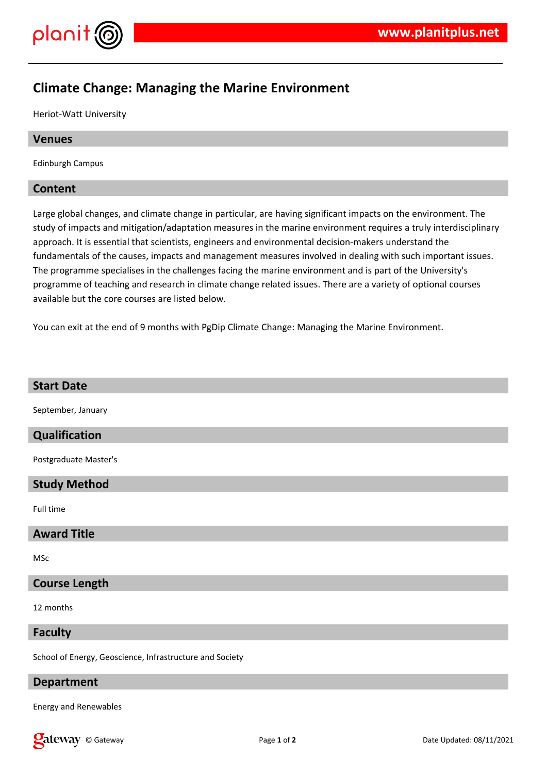

# **Climate Change: Managing the Marine Environment**

Heriot-Watt University

# **Venues**

Edinburgh Campus

# **Content**

Large global changes, and climate change in particular, are having significant impacts on the environment. The study of impacts and mitigation/adaptation measures in the marine environment requires a truly interdisciplinary approach. It is essential that scientists, engineers and environmental decision-makers understand the fundamentals of the causes, impacts and management measures involved in dealing with such important issues. The programme specialises in the challenges facing the marine environment and is part of the University's programme of teaching and research in climate change related issues. There are a variety of optional courses available but the core courses are listed below.

You can exit at the end of 9 months with PgDip Climate Change: Managing the Marine Environment.

| <b>Start Date</b>                                        |
|----------------------------------------------------------|
| September, January                                       |
| Qualification                                            |
| Postgraduate Master's                                    |
| <b>Study Method</b>                                      |
| Full time                                                |
| <b>Award Title</b>                                       |
| MSc                                                      |
| <b>Course Length</b>                                     |
| 12 months                                                |
| <b>Faculty</b>                                           |
| School of Energy, Geoscience, Infrastructure and Society |

# **Department**

Energy and Renewables